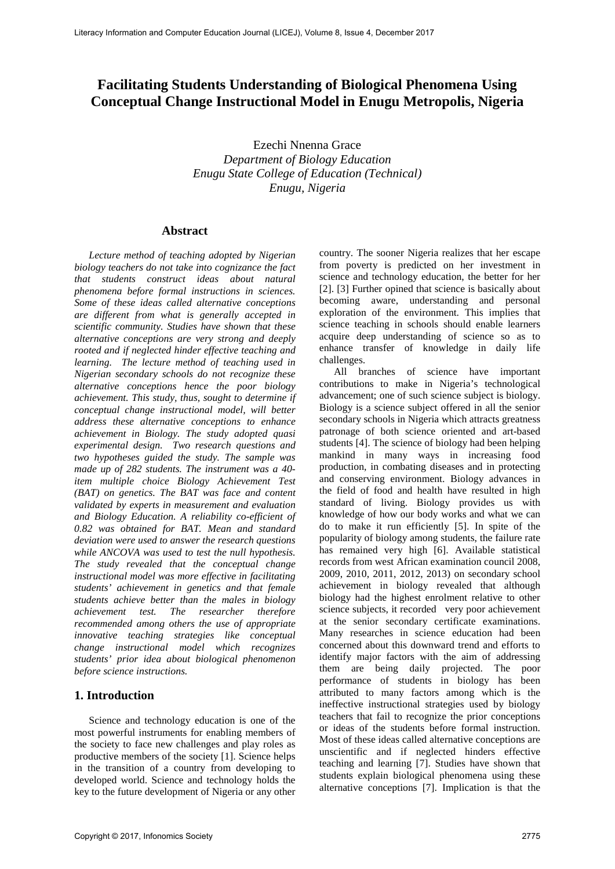# **Facilitating Students Understanding of Biological Phenomena Using Conceptual Change Instructional Model in Enugu Metropolis, Nigeria**

Ezechi Nnenna Grace *Department of Biology Education Enugu State College of Education (Technical) Enugu, Nigeria* 

#### **Abstract**

*Lecture method of teaching adopted by Nigerian biology teachers do not take into cognizance the fact that students construct ideas about natural phenomena before formal instructions in sciences. Some of these ideas called alternative conceptions are different from what is generally accepted in scientific community. Studies have shown that these alternative conceptions are very strong and deeply rooted and if neglected hinder effective teaching and learning. The lecture method of teaching used in Nigerian secondary schools do not recognize these alternative conceptions hence the poor biology achievement. This study, thus, sought to determine if conceptual change instructional model, will better address these alternative conceptions to enhance achievement in Biology. The study adopted quasi experimental design. Two research questions and two hypotheses guided the study. The sample was made up of 282 students. The instrument was a 40 item multiple choice Biology Achievement Test (BAT) on genetics. The BAT was face and content validated by experts in measurement and evaluation and Biology Education. A reliability co-efficient of 0.82 was obtained for BAT. Mean and standard deviation were used to answer the research questions while ANCOVA was used to test the null hypothesis. The study revealed that the conceptual change instructional model was more effective in facilitating students' achievement in genetics and that female students achieve better than the males in biology achievement test. The researcher therefore recommended among others the use of appropriate innovative teaching strategies like conceptual change instructional model which recognizes students' prior idea about biological phenomenon before science instructions.*

## **1. Introduction**

Science and technology education is one of the most powerful instruments for enabling members of the society to face new challenges and play roles as productive members of the society [1]. Science helps in the transition of a country from developing to developed world. Science and technology holds the key to the future development of Nigeria or any other country. The sooner Nigeria realizes that her escape from poverty is predicted on her investment in science and technology education, the better for her [2]. [3] Further opined that science is basically about becoming aware, understanding and personal exploration of the environment. This implies that science teaching in schools should enable learners acquire deep understanding of science so as to enhance transfer of knowledge in daily life challenges.

All branches of science have important contributions to make in Nigeria's technological advancement; one of such science subject is biology. Biology is a science subject offered in all the senior secondary schools in Nigeria which attracts greatness patronage of both science oriented and art-based students [4]. The science of biology had been helping mankind in many ways in increasing food production, in combating diseases and in protecting and conserving environment. Biology advances in the field of food and health have resulted in high standard of living. Biology provides us with knowledge of how our body works and what we can do to make it run efficiently [5]. In spite of the popularity of biology among students, the failure rate has remained very high [6]. Available statistical records from west African examination council 2008, 2009, 2010, 2011, 2012, 2013) on secondary school achievement in biology revealed that although biology had the highest enrolment relative to other science subjects, it recorded very poor achievement at the senior secondary certificate examinations. Many researches in science education had been concerned about this downward trend and efforts to identify major factors with the aim of addressing them are being daily projected. The poor performance of students in biology has been attributed to many factors among which is the ineffective instructional strategies used by biology teachers that fail to recognize the prior conceptions or ideas of the students before formal instruction. Most of these ideas called alternative conceptions are unscientific and if neglected hinders effective teaching and learning [7]. Studies have shown that students explain biological phenomena using these alternative conceptions [7]. Implication is that the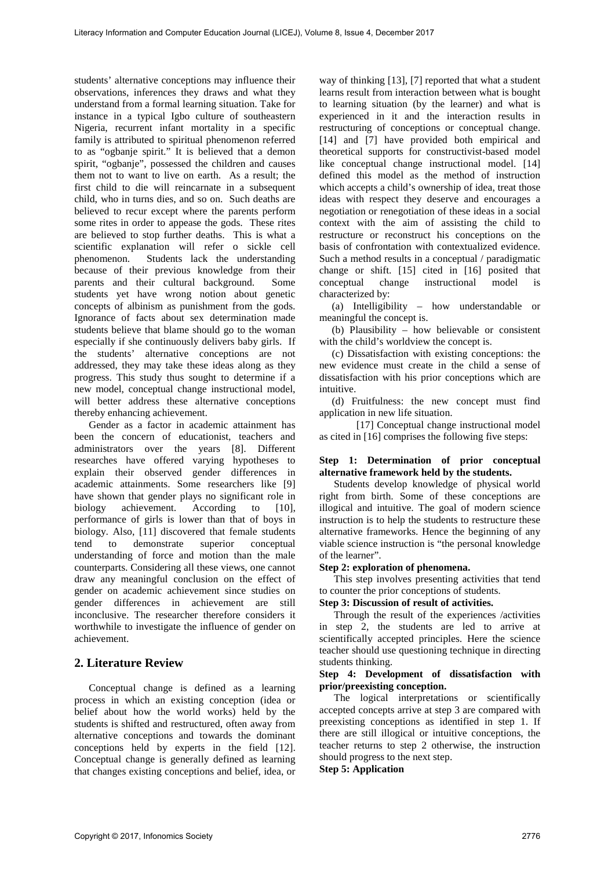students' alternative conceptions may influence their observations, inferences they draws and what they understand from a formal learning situation. Take for instance in a typical Igbo culture of southeastern Nigeria, recurrent infant mortality in a specific family is attributed to spiritual phenomenon referred to as "ogbanje spirit." It is believed that a demon spirit, "ogbanje", possessed the children and causes them not to want to live on earth. As a result; the first child to die will reincarnate in a subsequent child, who in turns dies, and so on. Such deaths are believed to recur except where the parents perform some rites in order to appease the gods. These rites are believed to stop further deaths. This is what a scientific explanation will refer o sickle cell Students lack the understanding because of their previous knowledge from their parents and their cultural background. Some students yet have wrong notion about genetic concepts of albinism as punishment from the gods. Ignorance of facts about sex determination made students believe that blame should go to the woman especially if she continuously delivers baby girls. If the students' alternative conceptions are not addressed, they may take these ideas along as they progress. This study thus sought to determine if a new model, conceptual change instructional model, will better address these alternative conceptions thereby enhancing achievement.

Gender as a factor in academic attainment has been the concern of educationist, teachers and administrators over the years [8]. Different researches have offered varying hypotheses to explain their observed gender differences in academic attainments. Some researchers like [9] have shown that gender plays no significant role in biology achievement. According to [10], performance of girls is lower than that of boys in biology. Also, [11] discovered that female students tend to demonstrate superior conceptual understanding of force and motion than the male counterparts. Considering all these views, one cannot draw any meaningful conclusion on the effect of gender on academic achievement since studies on gender differences in achievement are still inconclusive. The researcher therefore considers it worthwhile to investigate the influence of gender on achievement.

## **2. Literature Review**

Conceptual change is defined as a learning process in which an existing conception (idea or belief about how the world works) held by the students is shifted and restructured, often away from alternative conceptions and towards the dominant conceptions held by experts in the field [12]. Conceptual change is generally defined as learning that changes existing conceptions and belief, idea, or

way of thinking [13], [7] reported that what a student learns result from interaction between what is bought to learning situation (by the learner) and what is experienced in it and the interaction results in restructuring of conceptions or conceptual change. [14] and [7] have provided both empirical and theoretical supports for constructivist-based model like conceptual change instructional model. [14] defined this model as the method of instruction which accepts a child's ownership of idea, treat those ideas with respect they deserve and encourages a negotiation or renegotiation of these ideas in a social context with the aim of assisting the child to restructure or reconstruct his conceptions on the basis of confrontation with contextualized evidence. Such a method results in a conceptual / paradigmatic change or shift. [15] cited in [16] posited that conceptual change instructional model is characterized by:

(a) Intelligibility – how understandable or meaningful the concept is.

(b) Plausibility – how believable or consistent with the child's worldview the concept is.

(c) Dissatisfaction with existing conceptions: the new evidence must create in the child a sense of dissatisfaction with his prior conceptions which are intuitive.

(d) Fruitfulness: the new concept must find application in new life situation.

[17] Conceptual change instructional model as cited in [16] comprises the following five steps:

#### **Step 1: Determination of prior conceptual alternative framework held by the students.**

Students develop knowledge of physical world right from birth. Some of these conceptions are illogical and intuitive. The goal of modern science instruction is to help the students to restructure these alternative frameworks. Hence the beginning of any viable science instruction is "the personal knowledge of the learner".

### **Step 2: exploration of phenomena.**

This step involves presenting activities that tend to counter the prior conceptions of students.

### **Step 3: Discussion of result of activities.**

Through the result of the experiences /activities in step 2, the students are led to arrive at scientifically accepted principles. Here the science teacher should use questioning technique in directing students thinking.

#### **Step 4: Development of dissatisfaction with prior/preexisting conception.**

The logical interpretations or scientifically accepted concepts arrive at step 3 are compared with preexisting conceptions as identified in step 1. If there are still illogical or intuitive conceptions, the teacher returns to step 2 otherwise, the instruction should progress to the next step. **Step 5: Application**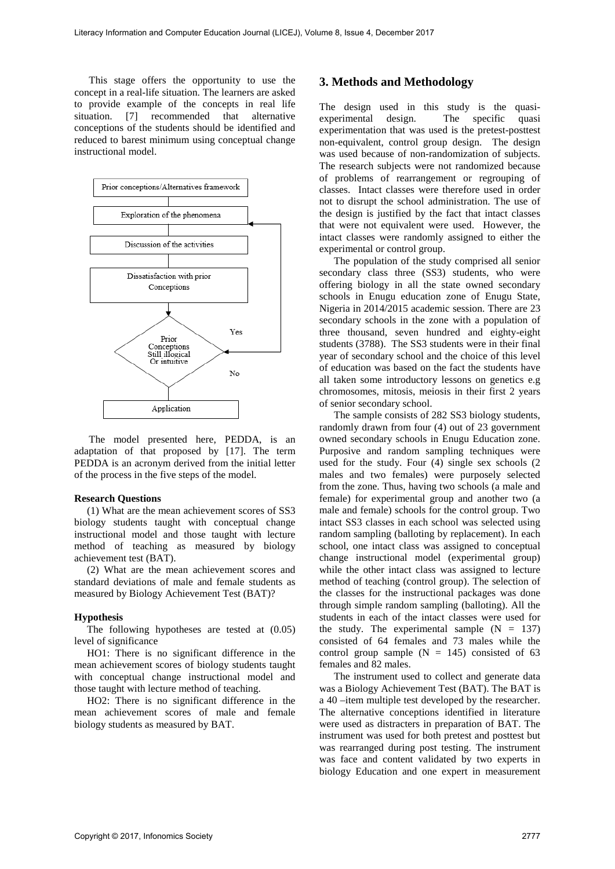This stage offers the opportunity to use the concept in a real-life situation. The learners are asked to provide example of the concepts in real life situation. [7] recommended that alternative conceptions of the students should be identified and reduced to barest minimum using conceptual change instructional model.



The model presented here, PEDDA, is an adaptation of that proposed by [17]. The term PEDDA is an acronym derived from the initial letter of the process in the five steps of the model.

#### **Research Questions**

(1) What are the mean achievement scores of SS3 biology students taught with conceptual change instructional model and those taught with lecture method of teaching as measured by biology achievement test (BAT).

(2) What are the mean achievement scores and standard deviations of male and female students as measured by Biology Achievement Test (BAT)?

#### **Hypothesis**

The following hypotheses are tested at (0.05) level of significance

HO1: There is no significant difference in the mean achievement scores of biology students taught with conceptual change instructional model and those taught with lecture method of teaching.

HO2: There is no significant difference in the mean achievement scores of male and female biology students as measured by BAT.

## **3. Methods and Methodology**

The design used in this study is the quasi-<br>experimental design. The specific quasi The specific quasi experimentation that was used is the pretest-posttest non-equivalent, control group design. The design was used because of non-randomization of subjects. The research subjects were not randomized because of problems of rearrangement or regrouping of classes. Intact classes were therefore used in order not to disrupt the school administration. The use of the design is justified by the fact that intact classes that were not equivalent were used. However, the intact classes were randomly assigned to either the experimental or control group.

The population of the study comprised all senior secondary class three (SS3) students, who were offering biology in all the state owned secondary schools in Enugu education zone of Enugu State, Nigeria in 2014/2015 academic session. There are 23 secondary schools in the zone with a population of three thousand, seven hundred and eighty-eight students (3788). The SS3 students were in their final year of secondary school and the choice of this level of education was based on the fact the students have all taken some introductory lessons on genetics e.g chromosomes, mitosis, meiosis in their first 2 years of senior secondary school.

The sample consists of 282 SS3 biology students, randomly drawn from four (4) out of 23 government owned secondary schools in Enugu Education zone. Purposive and random sampling techniques were used for the study. Four (4) single sex schools (2 males and two females) were purposely selected from the zone. Thus, having two schools (a male and female) for experimental group and another two (a male and female) schools for the control group. Two intact SS3 classes in each school was selected using random sampling (balloting by replacement). In each school, one intact class was assigned to conceptual change instructional model (experimental group) while the other intact class was assigned to lecture method of teaching (control group). The selection of the classes for the instructional packages was done through simple random sampling (balloting). All the students in each of the intact classes were used for the study. The experimental sample  $(N = 137)$ consisted of 64 females and 73 males while the control group sample  $(N = 145)$  consisted of 63 females and 82 males.

The instrument used to collect and generate data was a Biology Achievement Test (BAT). The BAT is a 40 –item multiple test developed by the researcher. The alternative conceptions identified in literature were used as distracters in preparation of BAT. The instrument was used for both pretest and posttest but was rearranged during post testing. The instrument was face and content validated by two experts in biology Education and one expert in measurement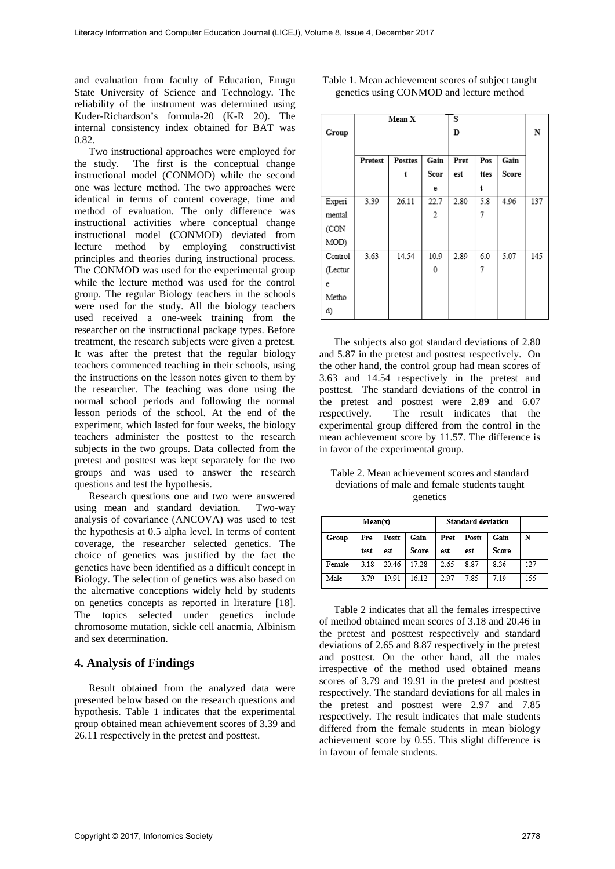and evaluation from faculty of Education, Enugu State University of Science and Technology. The reliability of the instrument was determined using Kuder-Richardson's formula-20 (K-R 20). The internal consistency index obtained for BAT was 0.82.

Two instructional approaches were employed for the study. The first is the conceptual change instructional model (CONMOD) while the second one was lecture method. The two approaches were identical in terms of content coverage, time and method of evaluation. The only difference was instructional activities where conceptual change instructional model (CONMOD) deviated from lecture method by employing constructivist principles and theories during instructional process. The CONMOD was used for the experimental group while the lecture method was used for the control group. The regular Biology teachers in the schools were used for the study. All the biology teachers used received a one-week training from the researcher on the instructional package types. Before treatment, the research subjects were given a pretest. It was after the pretest that the regular biology teachers commenced teaching in their schools, using the instructions on the lesson notes given to them by the researcher. The teaching was done using the normal school periods and following the normal lesson periods of the school. At the end of the experiment, which lasted for four weeks, the biology teachers administer the posttest to the research subjects in the two groups. Data collected from the pretest and posttest was kept separately for the two groups and was used to answer the research questions and test the hypothesis.

Research questions one and two were answered using mean and standard deviation. Two-way analysis of covariance (ANCOVA) was used to test the hypothesis at 0.5 alpha level. In terms of content coverage, the researcher selected genetics. The choice of genetics was justified by the fact the genetics have been identified as a difficult concept in Biology. The selection of genetics was also based on the alternative conceptions widely held by students on genetics concepts as reported in literature [18]. The topics selected under genetics include chromosome mutation, sickle cell anaemia, Albinism and sex determination.

## **4. Analysis of Findings**

Result obtained from the analyzed data were presented below based on the research questions and hypothesis. Table 1 indicates that the experimental group obtained mean achievement scores of 3.39 and 26.11 respectively in the pretest and posttest.

| Table 1. Mean achievement scores of subject taught |
|----------------------------------------------------|
| genetics using CONMOD and lecture method           |

|         | Mean X  |                |      | s    |      |       |     |
|---------|---------|----------------|------|------|------|-------|-----|
| Group   |         |                |      | D    |      |       | N   |
|         |         |                |      |      |      |       |     |
|         | Pretest | <b>Posttes</b> | Gain | Pret | Pos  | Gain  |     |
|         |         | t              | Scor | est  | ttes | Score |     |
|         |         |                | е    |      | t    |       |     |
| Experi  | 3.39    | 26.11          | 22.7 | 2.80 | 5.8  | 4.96  | 137 |
| mental  |         |                | 2    |      | 7    |       |     |
| (CON    |         |                |      |      |      |       |     |
| MOD)    |         |                |      |      |      |       |     |
| Control | 3.63    | 14.54          | 10.9 | 2.89 | 6.0  | 5.07  | 145 |
| (Lectur |         |                | 0    |      | 7    |       |     |
| e       |         |                |      |      |      |       |     |
| Metho   |         |                |      |      |      |       |     |
| ď)      |         |                |      |      |      |       |     |

The subjects also got standard deviations of 2.80 and 5.87 in the pretest and posttest respectively. On the other hand, the control group had mean scores of 3.63 and 14.54 respectively in the pretest and posttest. The standard deviations of the control in the pretest and posttest were 2.89 and 6.07 respectively. The result indicates that the experimental group differed from the control in the mean achievement score by 11.57. The difference is in favor of the experimental group.

Table 2. Mean achievement scores and standard deviations of male and female students taught genetics

| Mean(x) |      |       |       | <b>Standard deviation</b> |       |       |     |
|---------|------|-------|-------|---------------------------|-------|-------|-----|
| Group   | Pre  | Postt | Gain  | Pret                      | Postt | Gain  | N   |
|         | test | est   | Score | est                       | est   | Score |     |
| Female  | 3.18 | 20.46 | 17.28 | 2.65                      | 8.87  | 8.36  | 127 |
| Male    | 3.79 | 19.91 | 16.12 | 2.97                      | 7.85  | 7.19  | 155 |

Table 2 indicates that all the females irrespective of method obtained mean scores of 3.18 and 20.46 in the pretest and posttest respectively and standard deviations of 2.65 and 8.87 respectively in the pretest and posttest. On the other hand, all the males irrespective of the method used obtained means scores of 3.79 and 19.91 in the pretest and posttest respectively. The standard deviations for all males in the pretest and posttest were 2.97 and 7.85 respectively. The result indicates that male students differed from the female students in mean biology achievement score by 0.55. This slight difference is in favour of female students.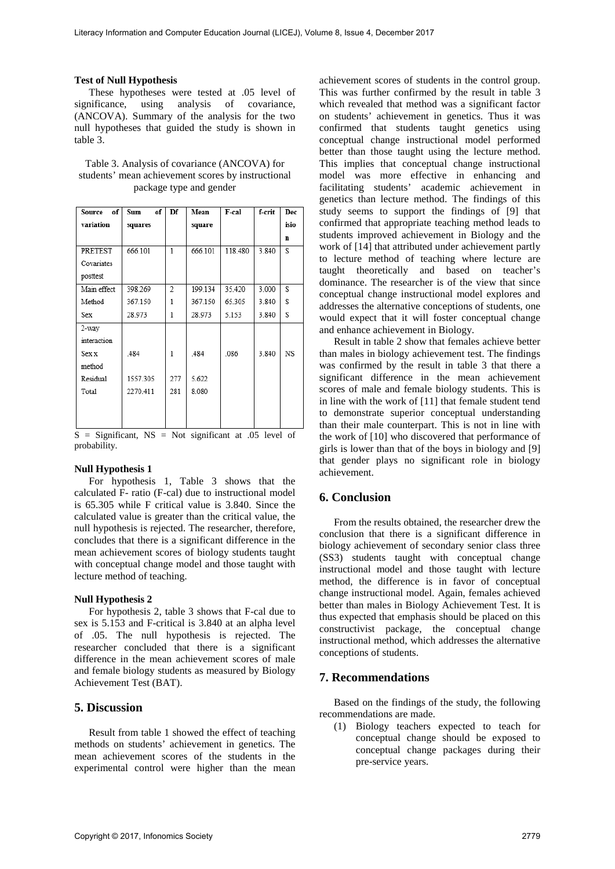#### **Test of Null Hypothesis**

These hypotheses were tested at .05 level of significance, using analysis of covariance, (ANCOVA). Summary of the analysis for the two null hypotheses that guided the study is shown in table 3.

| Table 3. Analysis of covariance (ANCOVA) for       |
|----------------------------------------------------|
| students' mean achievement scores by instructional |
| package type and gender                            |

| of<br>Source    | Sum<br>of | Df                       | Mean    | F-cal   | f-crit | Dec  |
|-----------------|-----------|--------------------------|---------|---------|--------|------|
| variation       | squares   |                          | square  |         |        | isio |
|                 |           |                          |         |         |        | n    |
| PRETEST         | 666.101   | 1                        | 666.101 | 118.480 | 3.840  | S    |
| Covariates      |           |                          |         |         |        |      |
| posttest        |           |                          |         |         |        |      |
| Main effect     | 398.269   | $\overline{\mathcal{L}}$ | 199.134 | 35.420  | 3.000  | S    |
| Method          | 367.150   | 1                        | 367.150 | 65.305  | 3.840  | S    |
| <b>Sex</b>      | 28.973    | 1                        | 28.973  | 5.153   | 3.840  | S    |
| 2-way           |           |                          |         |         |        |      |
| interaction     |           |                          |         |         |        |      |
| Sex x           | 484       | 1                        | 484     | 086     | 3.840  | NS   |
| method          |           |                          |         |         |        |      |
| <b>Residual</b> | 1557.305  | 277                      | 5.622   |         |        |      |
| Total           | 2270.411  | 281                      | 8.080   |         |        |      |
|                 |           |                          |         |         |        |      |
|                 |           |                          |         |         |        |      |
|                 |           |                          |         |         |        |      |

 $S =$  Significant, NS = Not significant at .05 level of probability.

#### **Null Hypothesis 1**

For hypothesis 1, Table 3 shows that the calculated F- ratio (F-cal) due to instructional model is 65.305 while F critical value is 3.840. Since the calculated value is greater than the critical value, the null hypothesis is rejected. The researcher, therefore, concludes that there is a significant difference in the mean achievement scores of biology students taught with conceptual change model and those taught with lecture method of teaching.

#### **Null Hypothesis 2**

For hypothesis 2, table 3 shows that F-cal due to sex is 5.153 and F-critical is 3.840 at an alpha level of .05. The null hypothesis is rejected. The researcher concluded that there is a significant difference in the mean achievement scores of male and female biology students as measured by Biology Achievement Test (BAT).

### **5. Discussion**

Result from table 1 showed the effect of teaching methods on students' achievement in genetics. The mean achievement scores of the students in the experimental control were higher than the mean

achievement scores of students in the control group. This was further confirmed by the result in table 3 which revealed that method was a significant factor on students' achievement in genetics. Thus it was confirmed that students taught genetics using conceptual change instructional model performed better than those taught using the lecture method. This implies that conceptual change instructional model was more effective in enhancing and facilitating students' academic achievement in genetics than lecture method. The findings of this study seems to support the findings of [9] that confirmed that appropriate teaching method leads to students improved achievement in Biology and the work of [14] that attributed under achievement partly to lecture method of teaching where lecture are taught theoretically and based on teacher's dominance. The researcher is of the view that since conceptual change instructional model explores and addresses the alternative conceptions of students, one would expect that it will foster conceptual change and enhance achievement in Biology.

Result in table 2 show that females achieve better than males in biology achievement test. The findings was confirmed by the result in table 3 that there a significant difference in the mean achievement scores of male and female biology students. This is in line with the work of [11] that female student tend to demonstrate superior conceptual understanding than their male counterpart. This is not in line with the work of [10] who discovered that performance of girls is lower than that of the boys in biology and [9] that gender plays no significant role in biology achievement.

## **6. Conclusion**

From the results obtained, the researcher drew the conclusion that there is a significant difference in biology achievement of secondary senior class three (SS3) students taught with conceptual change instructional model and those taught with lecture method, the difference is in favor of conceptual change instructional model. Again, females achieved better than males in Biology Achievement Test. It is thus expected that emphasis should be placed on this constructivist package, the conceptual change instructional method, which addresses the alternative conceptions of students.

#### **7. Recommendations**

Based on the findings of the study, the following recommendations are made.

(1) Biology teachers expected to teach for conceptual change should be exposed to conceptual change packages during their pre-service years.